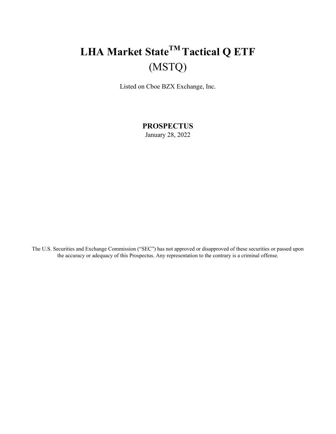## **LHA Market StateTM Tactical Q ETF**  (MSTQ)

Listed on Cboe BZX Exchange, Inc.

**PROSPECTUS** January 28, 2022

The U.S. Securities and Exchange Commission ("SEC") has not approved or disapproved of these securities or passed upon the accuracy or adequacy of this Prospectus. Any representation to the contrary is a criminal offense.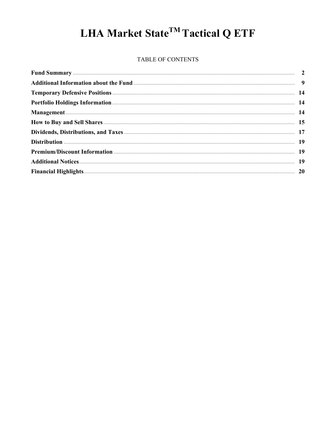# LHA Market State<sup>TM</sup> Tactical Q ETF

#### TABLE OF CONTENTS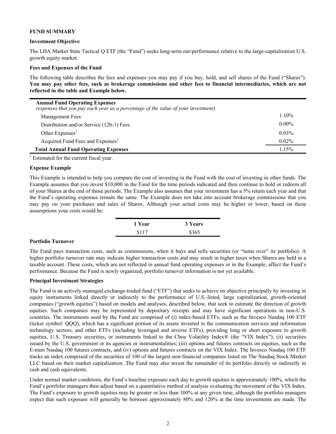#### **FUND SUMMARY**

#### **Investment Objective**

The LHA Market State Tactical Q ETF (the "Fund") seeks long-term out-performance relative to the large-capitalization U.S. growth equity market.

#### **Fees and Expenses of the Fund**

The following table describes the fees and expenses you may pay if you buy, hold, and sell shares of the Fund ("Shares"). **You may pay other fees, such as brokerage commissions and other fees to financial intermediaries, which are not reflected in the table and Example below.**

| <b>Annual Fund Operating Expenses</b><br>(expenses that you pay each year as a percentage of the value of your investment) |          |
|----------------------------------------------------------------------------------------------------------------------------|----------|
| <b>Management Fees</b>                                                                                                     | $1.10\%$ |
| Distribution and/or Service (12b-1) Fees                                                                                   | $0.00\%$ |
| Other Expenses <sup>1</sup>                                                                                                | $0.03\%$ |
| Acquired Fund Fees and Expenses <sup>1</sup>                                                                               | $0.02\%$ |
| <b>Total Annual Fund Operating Expenses</b>                                                                                | 1.15%    |

 $<sup>1</sup>$  Estimated for the current fiscal year.</sup>

#### **Expense Example**

This Example is intended to help you compare the cost of investing in the Fund with the cost of investing in other funds. The Example assumes that you invest \$10,000 in the Fund for the time periods indicated and then continue to hold or redeem all of your Shares at the end of those periods. The Example also assumes that your investment has a 5% return each year and that the Fund's operating expenses remain the same. The Example does not take into account brokerage commissions that you may pay on your purchases and sales of Shares. Although your actual costs may be higher or lower, based on these assumptions your costs would be:

| 1 Year | 3 Years |
|--------|---------|
| \$117  | \$365   |

#### **Portfolio Turnover**

The Fund pays transaction costs, such as commissions, when it buys and sells securities (or "turns over" its portfolio). A higher portfolio turnover rate may indicate higher transaction costs and may result in higher taxes when Shares are held in a taxable account. These costs, which are not reflected in annual fund operating expenses or in the Example, affect the Fund's performance. Because the Fund is newly organized, portfolio turnover information is not yet available.

#### **Principal Investment Strategies**

The Fund is an actively-managed exchange-traded fund ("ETF") that seeks to achieve its objective principally by investing in equity instruments linked directly or indirectly to the performance of U.S.-listed, large capitalization, growth-oriented companies ("growth equities") based on models and analyses, described below, that seek to estimate the direction of growth equities. Such companies may be represented by depositary receipts and may have significant operations in non-U.S. countries. The instruments used by the Fund are comprised of (i) index-based ETFs, such as the Invesco Nasdaq 100 ETF (ticker symbol: QQQ), which has a significant portion of its assets invested in the communication services and information technology sectors, and other ETFs (including leveraged and inverse ETFs), providing long or short exposure to growth equities, U.S. Treasury securities, or instruments linked to the Cboe Volatility Index® (the "VIX Index"); (ii) securities issued by the U.S. government or its agencies or instrumentalities; (iii) options and futures contracts on equities, such as the E-mini Nasdaq 100 futures contracts, and (iv) options and futures contracts on the VIX Index. The Invesco Nasdaq 100 ETF tracks an index comprised of the securities of 100 of the largest non-financial companies listed on The Nasdaq Stock Market LLC based on their market capitalization. The Fund may also invest the remainder of its portfolio directly or indirectly in cash and cash equivalents.

Under normal market conditions, the Fund's baseline exposure each day to growth equities is approximately 100%, which the Fund's portfolio managers then adjust based on a quantitative method of analysis evaluating the movement of the VIX Index. The Fund's exposure to growth equities may be greater or less than 100% at any given time, although the portfolio managers expect that such exposure will generally be between approximately 80% and 120% at the time investments are made. The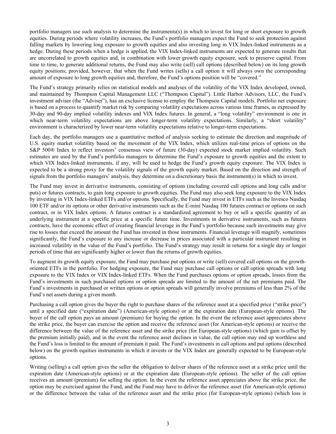portfolio managers use such analysis to determine the instruments(s) in which to invest for long or short exposure to growth equities. During periods where volatility increases, the Fund's portfolio managers expect the Fund to seek protection against falling markets by lowering long exposure to growth equities and also investing long in VIX Index-linked instruments as a hedge. During these periods when a hedge is applied, the VIX Index-linked instruments are expected to generate results that are uncorrelated to growth equities and, in combination with lower growth equity exposure, seek to preserve capital. From time to time, to generate additional returns, the Fund may also write (sell) call options (described below) on its long growth equity positions; provided, however, that when the Fund writes (sells) a call option it will always own the corresponding amount of exposure to long growth equities and, therefore, the Fund's options position will be "covered."

The Fund's strategy primarily relies on statistical models and analyses of the volatility of the VIX Index developed, owned, and maintained by Thompson Capital Management LLC ("Thompson Capital"). Little Harbor Advisors, LLC, the Fund's investment adviser (the "Adviser"), has an exclusive license to employ the Thompson Capital models. Portfolio net exposure is based on a process to quantify market risk by comparing volatility expectations across various time frames, as expressed by 30-day and 90-day implied volatility indexes and VIX Index futures. In general, a "long volatility" environment is one in which near-term volatility expectations are above longer-term volatility expectations. Similarly, a "short volatility" environment is characterized by lower near-term volatility expectations relative to longer-term expectations.

Each day, the portfolio managers use a quantitative method of analysis seeking to estimate the direction and magnitude of U.S. equity market volatility based on the movement of the VIX Index, which utilizes real-time prices of options on the S&P 500® Index to reflect investors' consensus view of future (30-day) expected stock market implied volatility. Such estimates are used by the Fund's portfolio managers to determine the Fund's exposure to growth equities and the extent to which VIX Index-linked instruments, if any, will be used to hedge the Fund's growth equity exposure. The VIX Index is expected to be a strong proxy for the volatility signals of the growth equity market. Based on the direction and strength of signals from the portfolio managers' analysis, they determine on a discretionary basis the instrument(s) in which to invest.

The Fund may invest in derivative instruments, consisting of options (including covered call options and long calls and/or puts) or futures contracts, to gain long exposure to growth equities. The Fund may also seek long exposure to the VIX Index by investing in VIX Index-linked ETFs and/or options. Specifically, the Fund may invest in ETFs such as the Invesco Nasdaq 100 ETF and/or its options or other derivative instruments such as the E-mini Nasdaq 100 futures contract or options on such contract, or in VIX Index options. A futures contract is a standardized agreement to buy or sell a specific quantity of an underlying instrument at a specific price at a specific future time. Investments in derivative instruments, such as futures contracts, have the economic effect of creating financial leverage in the Fund's portfolio because such investments may give rise to losses that exceed the amount the Fund has invested in those instruments. Financial leverage will magnify, sometimes significantly, the Fund's exposure to any increase or decrease in prices associated with a particular instrument resulting in increased volatility in the value of the Fund's portfolio. The Fund's strategy may result in returns for a single day or longer periods of time that are significantly higher or lower than the returns of growth equities.

To augment its growth equity exposure, the Fund may purchase put options or write (sell) covered call options on the growthoriented ETFs in the portfolio. For hedging exposure, the Fund may purchase call options or call option spreads with long exposure to the VIX Index or VIX Index-linked ETFs. When the Fund purchases options or option spreads, losses from the Fund's investments in such purchased options or option spreads are limited to the amount of the net premiums paid. The Fund's investments in purchased or written options or option spreads will generally involve premiums of less than 2% of the Fund's net assets during a given month.

Purchasing a call option gives the buyer the right to purchase shares of the reference asset at a specified price ("strike price") until a specified date ("expiration date") (American-style options) or at the expiration date (European-style options). The buyer of the call option pays an amount (premium) for buying the option. In the event the reference asset appreciates above the strike price, the buyer can exercise the option and receive the reference asset (for American-style options) or receive the difference between the value of the reference asset and the strike price (for European-style options) (which gain is offset by the premium initially paid), and in the event the reference asset declines in value, the call option may end up worthless and the Fund's loss is limited to the amount of premium it paid. The Fund's investments in call options and put options (described below) on the growth equities instruments in which it invests or the VIX Index are generally expected to be European-style options.

Writing (selling) a call option gives the seller the obligation to deliver shares of the reference asset at a strike price until the expiration date (American-style options) or at the expiration date (European-style options). The seller of the call option receives an amount (premium) for selling the option. In the event the reference asset appreciates above the strike price, the option may be exercised against the Fund, and the Fund may have to deliver the reference asset (for American-style options) or the difference between the value of the reference asset and the strike price (for European-style options) (which loss is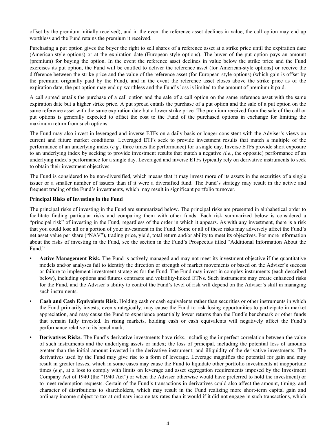offset by the premium initially received), and in the event the reference asset declines in value, the call option may end up worthless and the Fund retains the premium it received.

Purchasing a put option gives the buyer the right to sell shares of a reference asset at a strike price until the expiration date (American-style options) or at the expiration date (European-style options). The buyer of the put option pays an amount (premium) for buying the option. In the event the reference asset declines in value below the strike price and the Fund exercises its put option, the Fund will be entitled to deliver the reference asset (for American-style options) or receive the difference between the strike price and the value of the reference asset (for European-style options) (which gain is offset by the premium originally paid by the Fund), and in the event the reference asset closes above the strike price as of the expiration date, the put option may end up worthless and the Fund's loss is limited to the amount of premium it paid.

A call spread entails the purchase of a call option and the sale of a call option on the same reference asset with the same expiration date but a higher strike price. A put spread entails the purchase of a put option and the sale of a put option on the same reference asset with the same expiration date but a lower strike price. The premium received from the sale of the call or put options is generally expected to offset the cost to the Fund of the purchased options in exchange for limiting the maximum return from such options.

The Fund may also invest in leveraged and inverse ETFs on a daily basis or longer consistent with the Adviser's views on current and future market conditions. Leveraged ETFs seek to provide investment results that match a multiple of the performance of an underlying index (*e.g.*, three times the performance) for a single day. Inverse ETFs provide short exposure to an underlying index by seeking to provide investment results that match a negative *(i.e.*, the opposite) performance of an underlying index's performance for a single day. Leveraged and inverse ETFs typically rely on derivative instruments to seek to obtain their investment objectives.

The Fund is considered to be non-diversified, which means that it may invest more of its assets in the securities of a single issuer or a smaller number of issuers than if it were a diversified fund. The Fund's strategy may result in the active and frequent trading of the Fund's investments, which may result in significant portfolio turnover.

#### **Principal Risks of Investing in the Fund**

The principal risks of investing in the Fund are summarized below. The principal risks are presented in alphabetical order to facilitate finding particular risks and comparing them with other funds. Each risk summarized below is considered a "principal risk" of investing in the Fund, regardless of the order in which it appears. As with any investment, there is a risk that you could lose all or a portion of your investment in the Fund. Some or all of these risks may adversely affect the Fund's net asset value per share ("NAV"), trading price, yield, total return and/or ability to meet its objectives. For more information about the risks of investing in the Fund, see the section in the Fund's Prospectus titled "Additional Information About the Fund."

- **• Active Management Risk.** The Fund is actively managed and may not meet its investment objective if the quantitative models and/or analyses fail to identify the direction or strength of market movements or based on the Adviser's success or failure to implement investment strategies for the Fund. The Fund may invest in complex instruments (each described below), including options and futures contracts and volatility-linked ETNs. Such instruments may create enhanced risks for the Fund, and the Adviser's ability to control the Fund's level of risk will depend on the Adviser's skill in managing such instruments.
- **Cash and Cash Equivalents Risk.** Holding cash or cash equivalents rather than securities or other instruments in which the Fund primarily invests, even strategically, may cause the Fund to risk losing opportunities to participate in market appreciation, and may cause the Fund to experience potentially lower returns than the Fund's benchmark or other funds that remain fully invested. In rising markets, holding cash or cash equivalents will negatively affect the Fund's performance relative to its benchmark.
- **• Derivatives Risks.** The Fund's derivative investments have risks, including the imperfect correlation between the value of such instruments and the underlying assets or index; the loss of principal, including the potential loss of amounts greater than the initial amount invested in the derivative instrument; and illiquidity of the derivative investments. The derivatives used by the Fund may give rise to a form of leverage. Leverage magnifies the potential for gain and may result in greater losses, which in some cases may cause the Fund to liquidate other portfolio investments at inopportune times (*e.g.*, at a loss to comply with limits on leverage and asset segregation requirements imposed by the Investment Company Act of 1940 (the "1940 Act") or when the Adviser otherwise would have preferred to hold the investment) or to meet redemption requests. Certain of the Fund's transactions in derivatives could also affect the amount, timing, and character of distributions to shareholders, which may result in the Fund realizing more short-term capital gain and ordinary income subject to tax at ordinary income tax rates than it would if it did not engage in such transactions, which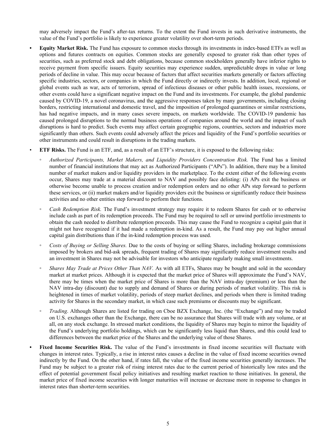may adversely impact the Fund's after-tax returns. To the extent the Fund invests in such derivative instruments, the value of the Fund's portfolio is likely to experience greater volatility over short-term periods.

- **• Equity Market Risk.** The Fund has exposure to common stocks through its investments in index-based ETFs as well as options and futures contracts on equities. Common stocks are generally exposed to greater risk than other types of securities, such as preferred stock and debt obligations, because common stockholders generally have inferior rights to receive payment from specific issuers. Equity securities may experience sudden, unpredictable drops in value or long periods of decline in value. This may occur because of factors that affect securities markets generally or factors affecting specific industries, sectors, or companies in which the Fund directly or indirectly invests. In addition, local, regional or global events such as war, acts of terrorism, spread of infectious diseases or other public health issues, recessions, or other events could have a significant negative impact on the Fund and its investments. For example, the global pandemic caused by COVID-19, a novel coronavirus, and the aggressive responses taken by many governments, including closing borders, restricting international and domestic travel, and the imposition of prolonged quarantines or similar restrictions, has had negative impacts, and in many cases severe impacts, on markets worldwide. The COVID-19 pandemic has caused prolonged disruptions to the normal business operations of companies around the world and the impact of such disruptions is hard to predict. Such events may affect certain geographic regions, countries, sectors and industries more significantly than others. Such events could adversely affect the prices and liquidity of the Fund's portfolio securities or other instruments and could result in disruptions in the trading markets.
	- **ETF Risks.** The Fund is an ETF, and, as a result of an ETF's structure, it is exposed to the following risks:
		- *Authorized Participants, Market Makers, and Liquidity Providers Concentration Risk.* The Fund has a limited number of financial institutions that may act as Authorized Participants ("APs"). In addition, there may be a limited number of market makers and/or liquidity providers in the marketplace. To the extent either of the following events occur, Shares may trade at a material discount to NAV and possibly face delisting: (i) APs exit the business or otherwise become unable to process creation and/or redemption orders and no other APs step forward to perform these services, or (ii) market makers and/or liquidity providers exit the business or significantly reduce their business activities and no other entities step forward to perform their functions.
		- *Cash Redemption Risk.* The Fund's investment strategy may require it to redeem Shares for cash or to otherwise include cash as part of its redemption proceeds. The Fund may be required to sell or unwind portfolio investments to obtain the cash needed to distribute redemption proceeds. This may cause the Fund to recognize a capital gain that it might not have recognized if it had made a redemption in-kind. As a result, the Fund may pay out higher annual capital gain distributions than if the in-kind redemption process was used.
		- *Costs of Buying or Selling Shares.* Due to the costs of buying or selling Shares, including brokerage commissions imposed by brokers and bid-ask spreads, frequent trading of Shares may significantly reduce investment results and an investment in Shares may not be advisable for investors who anticipate regularly making small investments.
		- *Shares May Trade at Prices Other Than NAV.* As with all ETFs, Shares may be bought and sold in the secondary market at market prices. Although it is expected that the market price of Shares will approximate the Fund's NAV, there may be times when the market price of Shares is more than the NAV intra-day (premium) or less than the NAV intra-day (discount) due to supply and demand of Shares or during periods of market volatility. This risk is heightened in times of market volatility, periods of steep market declines, and periods when there is limited trading activity for Shares in the secondary market, in which case such premiums or discounts may be significant.
		- *Trading*. Although Shares are listed for trading on Cboe BZX Exchange, Inc. (the "Exchange") and may be traded on U.S. exchanges other than the Exchange, there can be no assurance that Shares will trade with any volume, or at all, on any stock exchange. In stressed market conditions, the liquidity of Shares may begin to mirror the liquidity of the Fund's underlying portfolio holdings, which can be significantly less liquid than Shares, and this could lead to differences between the market price of the Shares and the underlying value of those Shares.
- **Fixed Income Securities Risk.** The value of the Fund's investments in fixed income securities will fluctuate with changes in interest rates. Typically, a rise in interest rates causes a decline in the value of fixed income securities owned indirectly by the Fund. On the other hand, if rates fall, the value of the fixed income securities generally increases. The Fund may be subject to a greater risk of rising interest rates due to the current period of historically low rates and the effect of potential government fiscal policy initiatives and resulting market reaction to those initiatives. In general, the market price of fixed income securities with longer maturities will increase or decrease more in response to changes in interest rates than shorter-term securities.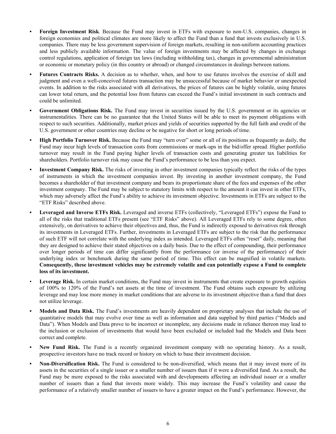- **• Foreign Investment Risk**. Because the Fund may invest in ETFs with exposure to non-U.S. companies, changes in foreign economies and political climates are more likely to affect the Fund than a fund that invests exclusively in U.S. companies. There may be less government supervision of foreign markets, resulting in non-uniform accounting practices and less publicly available information. The value of foreign investments may be affected by changes in exchange control regulations, application of foreign tax laws (including withholding tax), changes in governmental administration or economic or monetary policy (in this country or abroad) or changed circumstances in dealings between nations.
- **• Futures Contracts Risks.** A decision as to whether, when, and how to use futures involves the exercise of skill and judgment and even a well-conceived futures transaction may be unsuccessful because of market behavior or unexpected events. In addition to the risks associated with all derivatives, the prices of futures can be highly volatile, using futures can lower total return, and the potential loss from futures can exceed the Fund's initial investment in such contracts and could be unlimited.
- **• Government Obligations Risk.** The Fund may invest in securities issued by the U.S. government or its agencies or instrumentalities. There can be no guarantee that the United States will be able to meet its payment obligations with respect to such securities. Additionally, market prices and yields of securities supported by the full faith and credit of the U.S. government or other countries may decline or be negative for short or long periods of time.
- **• High Portfolio Turnover Risk.** Because the Fund may "turn over" some or all of its positions as frequently as daily, the Fund may incur high levels of transaction costs from commissions or mark-ups in the bid/offer spread. Higher portfolio turnover may result in the Fund paying higher levels of transaction costs and generating greater tax liabilities for shareholders. Portfolio turnover risk may cause the Fund's performance to be less than you expect.
- *•* **Investment Company Risk.** The risks of investing in other investment companies typically reflect the risks of the types of instruments in which the investment companies invest. By investing in another investment company, the Fund becomes a shareholder of that investment company and bears its proportionate share of the fees and expenses of the other investment company. The Fund may be subject to statutory limits with respect to the amount it can invest in other ETFs, which may adversely affect the Fund's ability to achieve its investment objective. Investments in ETFs are subject to the "ETF Risks" described above.
- **• Leveraged and Inverse ETFs Risk.** Leveraged and inverse ETFs (collectively, "Leveraged ETFs") expose the Fund to all of the risks that traditional ETFs present (see "ETF Risks" above). All Leveraged ETFs rely to some degree, often extensively, on derivatives to achieve their objectives and, thus, the Fund is indirectly exposed to derivatives risk through its investments in Leveraged ETFs. Further, investments in Leveraged ETFs are subject to the risk that the performance of such ETF will not correlate with the underlying index as intended. Leveraged ETFs often "reset" daily, meaning that they are designed to achieve their stated objectives on a daily basis. Due to the effect of compounding, their performance over longer periods of time can differ significantly from the performance (or inverse of the performance) of their underlying index or benchmark during the same period of time. This effect can be magnified in volatile markets. **Consequently, these investment vehicles may be extremely volatile and can potentially expose a Fund to complete loss of its investment.**
- Leverage Risk. In certain market conditions, the Fund may invest in instruments that create exposure to growth equities of 100% to 120% of the Fund's net assets at the time of investment. The Fund obtains such exposure by utilizing leverage and may lose more money in market conditions that are adverse to its investment objective than a fund that does not utilize leverage.
- **• Models and Data Risk.** The Fund's investments are heavily dependent on proprietary analyses that include the use of quantitative models that may evolve over time as well as information and data supplied by third parties ("Models and Data"). When Models and Data prove to be incorrect or incomplete, any decisions made in reliance thereon may lead to the inclusion or exclusion of investments that would have been excluded or included had the Models and Data been correct and complete.
- **• New Fund Risk.** The Fund is a recently organized investment company with no operating history. As a result, prospective investors have no track record or history on which to base their investment decision.
- **• Non-Diversification Risk.** The Fund is considered to be non-diversified, which means that it may invest more of its assets in the securities of a single issuer or a smaller number of issuers than if it were a diversified fund. As a result, the Fund may be more exposed to the risks associated with and developments affecting an individual issuer or a smaller number of issuers than a fund that invests more widely. This may increase the Fund's volatility and cause the performance of a relatively smaller number of issuers to have a greater impact on the Fund's performance. However, the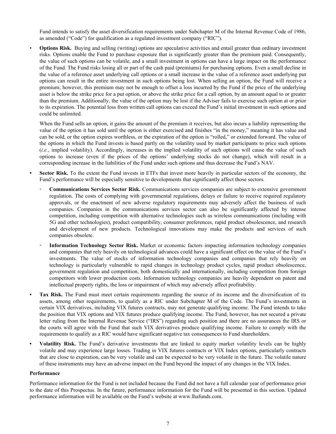Fund intends to satisfy the asset diversification requirements under Subchapter M of the Internal Revenue Code of 1986, as amended ("Code") for qualification as a regulated investment company ("RIC").

• **Options Risk.** Buying and selling (writing) options are speculative activities and entail greater than ordinary investment risks. Options enable the Fund to purchase exposure that is significantly greater than the premium paid. Consequently, the value of such options can be volatile, and a small investment in options can have a large impact on the performance of the Fund. The Fund risks losing all or part of the cash paid (premiums) for purchasing options. Even a small decline in the value of a reference asset underlying call options or a small increase in the value of a reference asset underlying put options can result in the entire investment in such options being lost. When selling an option, the Fund will receive a premium; however, this premium may not be enough to offset a loss incurred by the Fund if the price of the underlying asset is below the strike price for a put option, or above the strike price for a call option, by an amount equal to or greater than the premium. Additionally, the value of the option may be lost if the Adviser fails to exercise such option at or prior to its expiration. The potential loss from written call options can exceed the Fund's initial investment in such options and could be unlimited.

When the Fund sells an option, it gains the amount of the premium it receives, but also incurs a liability representing the value of the option it has sold until the option is either exercised and finishes "in the money," meaning it has value and can be sold, or the option expires worthless, or the expiration of the option is "rolled," or extended forward. The value of the options in which the Fund invests is based partly on the volatility used by market participants to price such options (*i.e.*, implied volatility). Accordingly, increases in the implied volatility of such options will cause the value of such options to increase (even if the prices of the options' underlying stocks do not change), which will result in a corresponding increase in the liabilities of the Fund under such options and thus decrease the Fund's NAV.

- **• Sector Risk.** To the extent the Fund invests in ETFs that invest more heavily in particular sectors of the economy, the Fund's performance will be especially sensitive to developments that significantly affect those sectors.
	- **Communications Services Sector Risk.** Communications services companies are subject to extensive government regulation. The costs of complying with governmental regulations, delays or failure to receive required regulatory approvals, or the enactment of new adverse regulatory requirements may adversely affect the business of such companies. Companies in the communications services sector can also be significantly affected by intense competition, including competition with alternative technologies such as wireless communications (including with 5G and other technologies), product compatibility, consumer preferences, rapid product obsolescence, and research and development of new products. Technological innovations may make the products and services of such companies obsolete.
	- **Information Technology Sector Risk.** Market or economic factors impacting information technology companies and companies that rely heavily on technological advances could have a significant effect on the value of the Fund's investments. The value of stocks of information technology companies and companies that rely heavily on technology is particularly vulnerable to rapid changes in technology product cycles, rapid product obsolescence, government regulation and competition, both domestically and internationally, including competition from foreign competitors with lower production costs. Information technology companies are heavily dependent on patent and intellectual property rights, the loss or impairment of which may adversely affect profitability.
- **• Tax Risk.** The Fund must meet certain requirements regarding the source of its income and the diversification of its assets, among other requirements, to qualify as a RIC under Subchapter M of the Code. The Fund's investments in certain VIX derivatives, including VIX futures contracts, may not generate qualifying income. The Fund intends to take the position that VIX options and VIX futures produce qualifying income. The Fund, however, has not secured a private letter ruling from the Internal Revenue Service ("IRS") regarding such position and there are no assurances the IRS or the courts will agree with the Fund that such VIX derivatives produce qualifying income. Failure to comply with the requirements to qualify as a RIC would have significant negative tax consequences to Fund shareholders.
- **• Volatility Risk.** The Fund's derivative investments that are linked to equity market volatility levels can be highly volatile and may experience large losses. Trading in VIX futures contracts or VIX Index options, particularly contracts that are close to expiration, can be very volatile and can be expected to be very volatile in the future. The volatile nature of these instruments may have an adverse impact on the Fund beyond the impact of any changes in the VIX Index.

#### **Performance**

Performance information for the Fund is not included because the Fund did not have a full calendar year of performance prior to the date of this Prospectus. In the future, performance information for the Fund will be presented in this section. Updated performance information will be available on the Fund's website at www.lhafunds.com.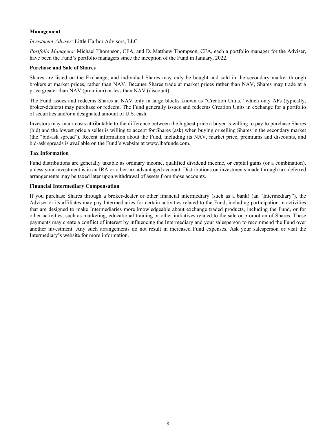#### **Management**

*Investment Adviser:* Little Harbor Advisors, LLC

*Portfolio Managers:* Michael Thompson, CFA, and D. Matthew Thompson, CFA, each a portfolio manager for the Adviser, have been the Fund's portfolio managers since the inception of the Fund in January, 2022.

#### **Purchase and Sale of Shares**

Shares are listed on the Exchange, and individual Shares may only be bought and sold in the secondary market through brokers at market prices, rather than NAV. Because Shares trade at market prices rather than NAV, Shares may trade at a price greater than NAV (premium) or less than NAV (discount).

The Fund issues and redeems Shares at NAV only in large blocks known as "Creation Units," which only APs (typically, broker-dealers) may purchase or redeem. The Fund generally issues and redeems Creation Units in exchange for a portfolio of securities and/or a designated amount of U.S. cash.

Investors may incur costs attributable to the difference between the highest price a buyer is willing to pay to purchase Shares (bid) and the lowest price a seller is willing to accept for Shares (ask) when buying or selling Shares in the secondary market (the "bid-ask spread"). Recent information about the Fund, including its NAV, market price, premiums and discounts, and bid-ask spreads is available on the Fund's website at www.lhafunds.com.

#### **Tax Information**

Fund distributions are generally taxable as ordinary income, qualified dividend income, or capital gains (or a combination), unless your investment is in an IRA or other tax-advantaged account. Distributions on investments made through tax-deferred arrangements may be taxed later upon withdrawal of assets from those accounts.

#### **Financial Intermediary Compensation**

If you purchase Shares through a broker-dealer or other financial intermediary (such as a bank) (an "Intermediary"), the Adviser or its affiliates may pay Intermediaries for certain activities related to the Fund, including participation in activities that are designed to make Intermediaries more knowledgeable about exchange traded products, including the Fund, or for other activities, such as marketing, educational training or other initiatives related to the sale or promotion of Shares. These payments may create a conflict of interest by influencing the Intermediary and your salesperson to recommend the Fund over another investment. Any such arrangements do not result in increased Fund expenses. Ask your salesperson or visit the Intermediary's website for more information.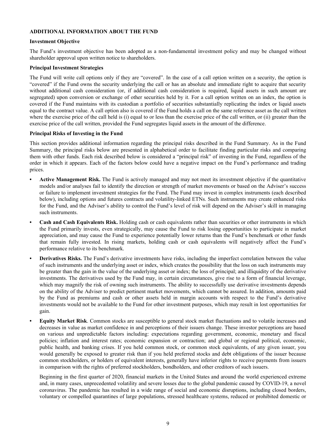#### **ADDITIONAL INFORMATION ABOUT THE FUND**

#### **Investment Objective**

The Fund's investment objective has been adopted as a non-fundamental investment policy and may be changed without shareholder approval upon written notice to shareholders.

#### **Principal Investment Strategies**

The Fund will write call options only if they are "covered". In the case of a call option written on a security, the option is "covered" if the Fund owns the security underlying the call or has an absolute and immediate right to acquire that security without additional cash consideration (or, if additional cash consideration is required, liquid assets in such amount are segregated) upon conversion or exchange of other securities held by it. For a call option written on an index, the option is covered if the Fund maintains with its custodian a portfolio of securities substantially replicating the index or liquid assets equal to the contract value. A call option also is covered if the Fund holds a call on the same reference asset as the call written where the exercise price of the call held is (i) equal to or less than the exercise price of the call written, or (ii) greater than the exercise price of the call written, provided the Fund segregates liquid assets in the amount of the difference.

#### **Principal Risks of Investing in the Fund**

This section provides additional information regarding the principal risks described in the Fund Summary. As in the Fund Summary, the principal risks below are presented in alphabetical order to facilitate finding particular risks and comparing them with other funds. Each risk described below is considered a "principal risk" of investing in the Fund, regardless of the order in which it appears. Each of the factors below could have a negative impact on the Fund's performance and trading prices.

- **• Active Management Risk.** The Fund is actively managed and may not meet its investment objective if the quantitative models and/or analyses fail to identify the direction or strength of market movements or based on the Adviser's success or failure to implement investment strategies for the Fund. The Fund may invest in complex instruments (each described below), including options and futures contracts and volatility-linked ETNs. Such instruments may create enhanced risks for the Fund, and the Adviser's ability to control the Fund's level of risk will depend on the Adviser's skill in managing such instruments.
- **• Cash and Cash Equivalents Risk.** Holding cash or cash equivalents rather than securities or other instruments in which the Fund primarily invests, even strategically, may cause the Fund to risk losing opportunities to participate in market appreciation, and may cause the Fund to experience potentially lower returns than the Fund's benchmark or other funds that remain fully invested. In rising markets, holding cash or cash equivalents will negatively affect the Fund's performance relative to its benchmark.
- **• Derivatives Risks.** The Fund's derivative investments have risks, including the imperfect correlation between the value of such instruments and the underlying asset or index, which creates the possibility that the loss on such instruments may be greater than the gain in the value of the underlying asset or index; the loss of principal; and illiquidity of the derivative investments. The derivatives used by the Fund may, in certain circumstances, give rise to a form of financial leverage, which may magnify the risk of owning such instruments. The ability to successfully use derivative investments depends on the ability of the Adviser to predict pertinent market movements, which cannot be assured. In addition, amounts paid by the Fund as premiums and cash or other assets held in margin accounts with respect to the Fund's derivative investments would not be available to the Fund for other investment purposes, which may result in lost opportunities for gain.
- **• Equity Market Risk**. Common stocks are susceptible to general stock market fluctuations and to volatile increases and decreases in value as market confidence in and perceptions of their issuers change. These investor perceptions are based on various and unpredictable factors including: expectations regarding government, economic, monetary and fiscal policies; inflation and interest rates; economic expansion or contraction; and global or regional political, economic, public health, and banking crises. If you held common stock, or common stock equivalents, of any given issuer, you would generally be exposed to greater risk than if you held preferred stocks and debt obligations of the issuer because common stockholders, or holders of equivalent interests, generally have inferior rights to receive payments from issuers in comparison with the rights of preferred stockholders, bondholders, and other creditors of such issuers.

Beginning in the first quarter of 2020, financial markets in the United States and around the world experienced extreme and, in many cases, unprecedented volatility and severe losses due to the global pandemic caused by COVID-19, a novel coronavirus. The pandemic has resulted in a wide range of social and economic disruptions, including closed borders, voluntary or compelled quarantines of large populations, stressed healthcare systems, reduced or prohibited domestic or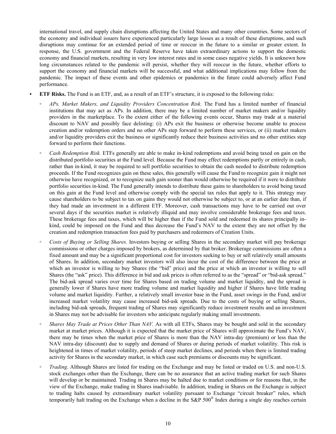international travel, and supply chain disruptions affecting the United States and many other countries. Some sectors of the economy and individual issuers have experienced particularly large losses as a result of these disruptions, and such disruptions may continue for an extended period of time or reoccur in the future to a similar or greater extent. In response, the U.S. government and the Federal Reserve have taken extraordinary actions to support the domestic economy and financial markets, resulting in very low interest rates and in some cases negative yields. It is unknown how long circumstances related to the pandemic will persist, whether they will reoccur in the future, whether efforts to support the economy and financial markets will be successful, and what additional implications may follow from the pandemic. The impact of these events and other epidemics or pandemics in the future could adversely affect Fund performance.

- **• ETF Risks.** The Fund is an ETF, and, as a result of an ETF's structure, it is exposed to the following risks:
	- *APs, Market Makers, and Liquidity Providers Concentration Risk.* The Fund has a limited number of financial institutions that may act as APs. In addition, there may be a limited number of market makers and/or liquidity providers in the marketplace. To the extent either of the following events occur, Shares may trade at a material discount to NAV and possibly face delisting: (i) APs exit the business or otherwise become unable to process creation and/or redemption orders and no other APs step forward to perform these services, or (ii) market makers and/or liquidity providers exit the business or significantly reduce their business activities and no other entities step forward to perform their functions.
	- *Cash Redemption Risk.* ETFs generally are able to make in-kind redemptions and avoid being taxed on gain on the distributed portfolio securities at the Fund level. Because the Fund may effect redemptions partly or entirely in cash, rather than in-kind, it may be required to sell portfolio securities to obtain the cash needed to distribute redemption proceeds. If the Fund recognizes gain on these sales, this generally will cause the Fund to recognize gain it might not otherwise have recognized, or to recognize such gain sooner than would otherwise be required if it were to distribute portfolio securities in-kind. The Fund generally intends to distribute these gains to shareholders to avoid being taxed on this gain at the Fund level and otherwise comply with the special tax rules that apply to it. This strategy may cause shareholders to be subject to tax on gains they would not otherwise be subject to, or at an earlier date than, if they had made an investment in a different ETF. Moreover, cash transactions may have to be carried out over several days if the securities market is relatively illiquid and may involve considerable brokerage fees and taxes. These brokerage fees and taxes, which will be higher than if the Fund sold and redeemed its shares principally inkind, could be imposed on the Fund and thus decrease the Fund's NAV to the extent they are not offset by the creation and redemption transaction fees paid by purchasers and redeemers of Creation Units.
	- *◦ Costs of Buying or Selling Shares.* Investors buying or selling Shares in the secondary market will pay brokerage commissions or other charges imposed by brokers, as determined by that broker. Brokerage commissions are often a fixed amount and may be a significant proportional cost for investors seeking to buy or sell relatively small amounts of Shares. In addition, secondary market investors will also incur the cost of the difference between the price at which an investor is willing to buy Shares (the "bid" price) and the price at which an investor is willing to sell Shares (the "ask" price). This difference in bid and ask prices is often referred to as the "spread" or "bid-ask spread." The bid-ask spread varies over time for Shares based on trading volume and market liquidity, and the spread is generally lower if Shares have more trading volume and market liquidity and higher if Shares have little trading volume and market liquidity. Further, a relatively small investor base in the Fund, asset swings in the Fund, and/or increased market volatility may cause increased bid-ask spreads. Due to the costs of buying or selling Shares, including bid-ask spreads, frequent trading of Shares may significantly reduce investment results and an investment in Shares may not be advisable for investors who anticipate regularly making small investments.
	- *Shares May Trade at Prices Other Than NAV.* As with all ETFs, Shares may be bought and sold in the secondary market at market prices. Although it is expected that the market price of Shares will approximate the Fund's NAV, there may be times when the market price of Shares is more than the NAV intra-day (premium) or less than the NAV intra-day (discount) due to supply and demand of Shares or during periods of market volatility. This risk is heightened in times of market volatility, periods of steep market declines, and periods when there is limited trading activity for Shares in the secondary market, in which case such premiums or discounts may be significant.
	- *Trading*. Although Shares are listed for trading on the Exchange and may be listed or traded on U.S. and non-U.S. stock exchanges other than the Exchange, there can be no assurance that an active trading market for such Shares will develop or be maintained. Trading in Shares may be halted due to market conditions or for reasons that, in the view of the Exchange, make trading in Shares inadvisable. In addition, trading in Shares on the Exchange is subject to trading halts caused by extraordinary market volatility pursuant to Exchange "circuit breaker" rules, which temporarily halt trading on the Exchange when a decline in the S&P  $500^{\circ}$  Index during a single day reaches certain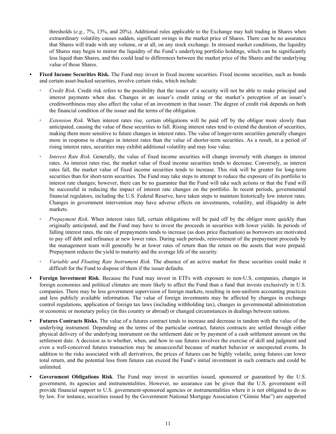thresholds (*e.g.*, 7%, 13%, and 20%). Additional rules applicable to the Exchange may halt trading in Shares when extraordinary volatility causes sudden, significant swings in the market price of Shares. There can be no assurance that Shares will trade with any volume, or at all, on any stock exchange. In stressed market conditions, the liquidity of Shares may begin to mirror the liquidity of the Fund's underlying portfolio holdings, which can be significantly less liquid than Shares, and this could lead to differences between the market price of the Shares and the underlying value of those Shares.

- **• Fixed Income Securities Risk.** The Fund may invest in fixed income securities. Fixed income securities, such as bonds and certain asset-backed securities, involve certain risks, which include:
	- *Credit Risk*. Credit risk refers to the possibility that the issuer of a security will not be able to make principal and interest payments when due. Changes in an issuer's credit rating or the market's perception of an issuer's creditworthiness may also affect the value of an investment in that issuer. The degree of credit risk depends on both the financial condition of the issuer and the terms of the obligation.
	- Extension Risk. When interest rates rise, certain obligations will be paid off by the obligor more slowly than anticipated, causing the value of these securities to fall. Rising interest rates tend to extend the duration of securities, making them more sensitive to future changes in interest rates. The value of longer-term securities generally changes more in response to changes in interest rates than the value of shorter-term securities. As a result, in a period of rising interest rates, securities may exhibit additional volatility and may lose value.
	- Interest Rate Risk. Generally, the value of fixed income securities will change inversely with changes in interest rates. As interest rates rise, the market value of fixed income securities tends to decrease. Conversely, as interest rates fall, the market value of fixed income securities tends to increase. This risk will be greater for long-term securities than for short-term securities. The Fund may take steps to attempt to reduce the exposure of its portfolio to interest rate changes; however, there can be no guarantee that the Fund will take such actions or that the Fund will be successful in reducing the impact of interest rate changes on the portfolio. In recent periods, governmental financial regulators, including the U.S. Federal Reserve, have taken steps to maintain historically low interest rates. Changes in government intervention may have adverse effects on investments, volatility, and illiquidity in debt markets.
	- *Prepayment Risk*. When interest rates fall, certain obligations will be paid off by the obligor more quickly than originally anticipated, and the Fund may have to invest the proceeds in securities with lower yields. In periods of falling interest rates, the rate of prepayments tends to increase (as does price fluctuation) as borrowers are motivated to pay off debt and refinance at new lower rates. During such periods, reinvestment of the prepayment proceeds by the management team will generally be at lower rates of return than the return on the assets that were prepaid. Prepayment reduces the yield to maturity and the average life of the security.
	- *Variable and Floating Rate Instrument Risk.* The absence of an active market for these securities could make it difficult for the Fund to dispose of them if the issuer defaults.
- **• Foreign Investment Risk**. Because the Fund may invest in ETFs with exposure to non-U.S. companies, changes in foreign economies and political climates are more likely to affect the Fund than a fund that invests exclusively in U.S. companies. There may be less government supervision of foreign markets, resulting in non-uniform accounting practices and less publicly available information. The value of foreign investments may be affected by changes in exchange control regulations, application of foreign tax laws (including withholding tax), changes in governmental administration or economic or monetary policy (in this country or abroad) or changed circumstances in dealings between nations.
- **• Futures Contracts Risks.** The value of a futures contract tends to increase and decrease in tandem with the value of the underlying instrument. Depending on the terms of the particular contract, futures contracts are settled through either physical delivery of the underlying instrument on the settlement date or by payment of a cash settlement amount on the settlement date. A decision as to whether, when, and how to use futures involves the exercise of skill and judgment and even a well-conceived futures transaction may be unsuccessful because of market behavior or unexpected events. In addition to the risks associated with all derivatives, the prices of futures can be highly volatile, using futures can lower total return, and the potential loss from futures can exceed the Fund's initial investment in such contracts and could be unlimited.
- **• Government Obligations Risk***.* The Fund may invest in securities issued, sponsored or guaranteed by the U.S. government, its agencies and instrumentalities. However, no assurance can be given that the U.S. government will provide financial support to U.S. government-sponsored agencies or instrumentalities where it is not obligated to do so by law. For instance, securities issued by the Government National Mortgage Association ("Ginnie Mae") are supported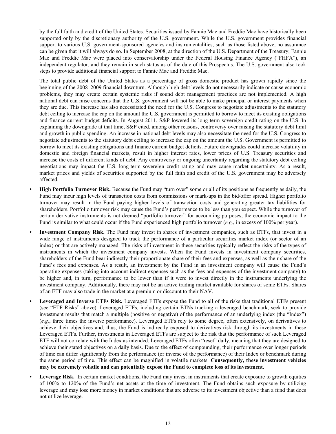by the full faith and credit of the United States. Securities issued by Fannie Mae and Freddie Mac have historically been supported only by the discretionary authority of the U.S. government. While the U.S. government provides financial support to various U.S. government-sponsored agencies and instrumentalities, such as those listed above, no assurance can be given that it will always do so. In September 2008, at the direction of the U.S. Department of the Treasury, Fannie Mae and Freddie Mac were placed into conservatorship under the Federal Housing Finance Agency ("FHFA"), an independent regulator, and they remain in such status as of the date of this Prospectus. The U.S. government also took steps to provide additional financial support to Fannie Mae and Freddie Mac.

The total public debt of the United States as a percentage of gross domestic product has grown rapidly since the beginning of the 2008–2009 financial downturn. Although high debt levels do not necessarily indicate or cause economic problems, they may create certain systemic risks if sound debt management practices are not implemented. A high national debt can raise concerns that the U.S. government will not be able to make principal or interest payments when they are due. This increase has also necessitated the need for the U.S. Congress to negotiate adjustments to the statutory debt ceiling to increase the cap on the amount the U.S. government is permitted to borrow to meet its existing obligations and finance current budget deficits. In August 2011, S&P lowered its long-term sovereign credit rating on the U.S. In explaining the downgrade at that time, S&P cited, among other reasons, controversy over raising the statutory debt limit and growth in public spending. An increase in national debt levels may also necessitate the need for the U.S. Congress to negotiate adjustments to the statutory debt ceiling to increase the cap on the amount the U.S. Government is permitted to borrow to meet its existing obligations and finance current budget deficits. Future downgrades could increase volatility in domestic and foreign financial markets, result in higher interest rates, lower prices of U.S. Treasury securities and increase the costs of different kinds of debt. Any controversy or ongoing uncertainty regarding the statutory debt ceiling negotiations may impact the U.S. long-term sovereign credit rating and may cause market uncertainty. As a result, market prices and yields of securities supported by the full faith and credit of the U.S. government may be adversely affected.

- **• High Portfolio Turnover Risk.** Because the Fund may "turn over" some or all of its positions as frequently as daily, the Fund may incur high levels of transaction costs from commissions or mark-ups in the bid/offer spread. Higher portfolio turnover may result in the Fund paying higher levels of transaction costs and generating greater tax liabilities for shareholders. Portfolio turnover risk may cause the Fund's performance to be less than you expect. While the turnover of certain derivative instruments is not deemed "portfolio turnover" for accounting purposes, the economic impact to the Fund is similar to what could occur if the Fund experienced high portfolio turnover (*e.g.*, in excess of 100% per year).
- *•* **Investment Company Risk.** The Fund may invest in shares of investment companies, such as ETFs, that invest in a wide range of instruments designed to track the performance of a particular securities market index (or sector of an index) or that are actively managed. The risks of investment in these securities typically reflect the risks of the types of instruments in which the investment company invests. When the Fund invests in investment company securities, shareholders of the Fund bear indirectly their proportionate share of their fees and expenses, as well as their share of the Fund's fees and expenses. As a result, an investment by the Fund in an investment company will cause the Fund's operating expenses (taking into account indirect expenses such as the fees and expenses of the investment company) to be higher and, in turn, performance to be lower than if it were to invest directly in the instruments underlying the investment company. Additionally, there may not be an active trading market available for shares of some ETFs. Shares of an ETF may also trade in the market at a premium or discount to their NAV.
- **• Leveraged and Inverse ETFs Risk.** Leveraged ETFs expose the Fund to all of the risks that traditional ETFs present (see "ETF Risks" above). Leveraged ETFs, including certain ETNs tracking a leveraged benchmark, seek to provide investment results that match a multiple (positive or negative) of the performance of an underlying index (the "Index") (*e.g.*, three times the inverse performance). Leveraged ETFs rely to some degree, often extensively, on derivatives to achieve their objectives and, thus, the Fund is indirectly exposed to derivatives risk through its investments in these Leveraged ETFs. Further, investments in Leveraged ETFs are subject to the risk that the performance of such Leveraged ETF will not correlate with the Index as intended. Leveraged ETFs often "reset" daily, meaning that they are designed to achieve their stated objectives on a daily basis. Due to the effect of compounding, their performance over longer periods of time can differ significantly from the performance (or inverse of the performance) of their Index or benchmark during the same period of time. This effect can be magnified in volatile markets. **Consequently, these investment vehicles may be extremely volatile and can potentially expose the Fund to complete loss of its investment.**
- **• Leverage Risk.** In certain market conditions, the Fund may invest in instruments that create exposure to growth equities of 100% to 120% of the Fund's net assets at the time of investment. The Fund obtains such exposure by utilizing leverage and may lose more money in market conditions that are adverse to its investment objective than a fund that does not utilize leverage.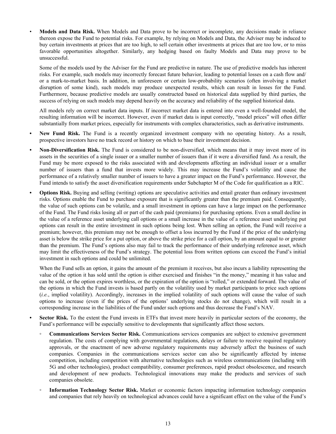• **Models and Data Risk.** When Models and Data prove to be incorrect or incomplete, any decisions made in reliance thereon expose the Fund to potential risks. For example, by relying on Models and Data, the Adviser may be induced to buy certain investments at prices that are too high, to sell certain other investments at prices that are too low, or to miss favorable opportunities altogether. Similarly, any hedging based on faulty Models and Data may prove to be unsuccessful.

Some of the models used by the Adviser for the Fund are predictive in nature. The use of predictive models has inherent risks. For example, such models may incorrectly forecast future behavior, leading to potential losses on a cash flow and/ or a mark-to-market basis. In addition, in unforeseen or certain low-probability scenarios (often involving a market disruption of some kind), such models may produce unexpected results, which can result in losses for the Fund. Furthermore, because predictive models are usually constructed based on historical data supplied by third parties, the success of relying on such models may depend heavily on the accuracy and reliability of the supplied historical data.

All models rely on correct market data inputs. If incorrect market data is entered into even a well-founded model, the resulting information will be incorrect. However, even if market data is input correctly, "model prices" will often differ substantially from market prices, especially for instruments with complex characteristics, such as derivative instruments.

- **• New Fund Risk.** The Fund is a recently organized investment company with no operating history. As a result, prospective investors have no track record or history on which to base their investment decision.
- **• Non-Diversification Risk.** The Fund is considered to be non-diversified, which means that it may invest more of its assets in the securities of a single issuer or a smaller number of issuers than if it were a diversified fund. As a result, the Fund may be more exposed to the risks associated with and developments affecting an individual issuer or a smaller number of issuers than a fund that invests more widely. This may increase the Fund's volatility and cause the performance of a relatively smaller number of issuers to have a greater impact on the Fund's performance. However, the Fund intends to satisfy the asset diversification requirements under Subchapter M of the Code for qualification as a RIC.
- **• Options Risk.** Buying and selling (writing) options are speculative activities and entail greater than ordinary investment risks. Options enable the Fund to purchase exposure that is significantly greater than the premium paid. Consequently, the value of such options can be volatile, and a small investment in options can have a large impact on the performance of the Fund. The Fund risks losing all or part of the cash paid (premiums) for purchasing options. Even a small decline in the value of a reference asset underlying call options or a small increase in the value of a reference asset underlying put options can result in the entire investment in such options being lost. When selling an option, the Fund will receive a premium; however, this premium may not be enough to offset a loss incurred by the Fund if the price of the underlying asset is below the strike price for a put option, or above the strike price for a call option, by an amount equal to or greater than the premium. The Fund's options also may fail to track the performance of their underlying reference asset, which may limit the effectiveness of the Fund's strategy. The potential loss from written options can exceed the Fund's initial investment in such options and could be unlimited.

When the Fund sells an option, it gains the amount of the premium it receives, but also incurs a liability representing the value of the option it has sold until the option is either exercised and finishes "in the money," meaning it has value and can be sold, or the option expires worthless, or the expiration of the option is "rolled," or extended forward. The value of the options in which the Fund invests is based partly on the volatility used by market participants to price such options (*i.e.*, implied volatility). Accordingly, increases in the implied volatility of such options will cause the value of such options to increase (even if the prices of the options' underlying stocks do not change), which will result in a corresponding increase in the liabilities of the Fund under such options and thus decrease the Fund's NAV.

- **• Sector Risk.** To the extent the Fund invests in ETFs that invest more heavily in particular sectors of the economy, the Fund's performance will be especially sensitive to developments that significantly affect those sectors.
	- **Communications Services Sector Risk.** Communications services companies are subject to extensive government regulation. The costs of complying with governmental regulations, delays or failure to receive required regulatory approvals, or the enactment of new adverse regulatory requirements may adversely affect the business of such companies. Companies in the communications services sector can also be significantly affected by intense competition, including competition with alternative technologies such as wireless communications (including with 5G and other technologies), product compatibility, consumer preferences, rapid product obsolescence, and research and development of new products. Technological innovations may make the products and services of such companies obsolete.
	- **Information Technology Sector Risk.** Market or economic factors impacting information technology companies and companies that rely heavily on technological advances could have a significant effect on the value of the Fund's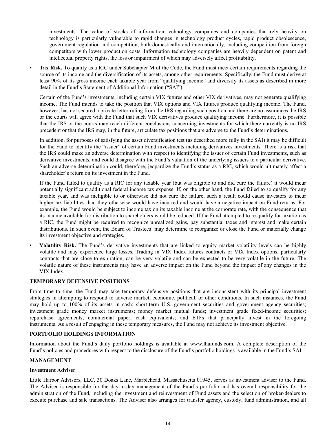investments. The value of stocks of information technology companies and companies that rely heavily on technology is particularly vulnerable to rapid changes in technology product cycles, rapid product obsolescence, government regulation and competition, both domestically and internationally, including competition from foreign competitors with lower production costs. Information technology companies are heavily dependent on patent and intellectual property rights, the loss or impairment of which may adversely affect profitability.

**Tax Risk.** To qualify as a RIC under Subchapter M of the Code, the Fund must meet certain requirements regarding the source of its income and the diversification of its assets, among other requirements. Specifically, the Fund must derive at least 90% of its gross income each taxable year from "qualifying income" and diversify its assets as described in more detail in the Fund's Statement of Additional Information ("SAI").

Certain of the Fund's investments, including certain VIX futures and other VIX derivatives, may not generate qualifying income. The Fund intends to take the position that VIX options and VIX futures produce qualifying income. The Fund, however, has not secured a private letter ruling from the IRS regarding such position and there are no assurances the IRS or the courts will agree with the Fund that such VIX derivatives produce qualifying income. Furthermore, it is possible that the IRS or the courts may reach different conclusions concerning investments for which there currently is no IRS precedent or that the IRS may, in the future, articulate tax positions that are adverse to the Fund's determinations.

In addition, for purposes of satisfying the asset diversification test (as described more fully in the SAI) it may be difficult for the Fund to identify the "issuer" of certain Fund investments including derivatives investments. There is a risk that the IRS could make an adverse determination with respect to identifying the issuer of certain Fund investments, such as derivative investments, and could disagree with the Fund's valuation of the underlying issuers to a particular derivative. Such an adverse determination could, therefore, jeopardize the Fund's status as a RIC, which would ultimately affect a shareholder's return on its investment in the Fund.

If the Fund failed to qualify as a RIC for any taxable year (but was eligible to and did cure the failure) it would incur potentially significant additional federal income tax expense. If, on the other hand, the Fund failed to so qualify for any taxable year, and was ineligible to or otherwise did not cure the failure, such a result could cause investors to incur higher tax liabilities than they otherwise would have incurred and would have a negative impact on Fund returns. For example, the Fund would be subject to income tax on its taxable income at the corporate rate, with the consequence that its income available for distribution to shareholders would be reduced. If the Fund attempted to re-qualify for taxation as a RIC, the Fund might be required to recognize unrealized gains, pay substantial taxes and interest and make certain distributions. In such event, the Board of Trustees' may determine to reorganize or close the Fund or materially change its investment objective and strategies.

**• Volatility Risk.** The Fund's derivative investments that are linked to equity market volatility levels can be highly volatile and may experience large losses. Trading in VIX Index futures contracts or VIX Index options, particularly contracts that are close to expiration, can be very volatile and can be expected to be very volatile in the future. The volatile nature of these instruments may have an adverse impact on the Fund beyond the impact of any changes in the VIX Index.

#### **TEMPORARY DEFENSIVE POSITIONS**

From time to time, the Fund may take temporary defensive positions that are inconsistent with its principal investment strategies in attempting to respond to adverse market, economic, political, or other conditions. In such instances, the Fund may hold up to 100% of its assets in cash; short-term U.S. government securities and government agency securities; investment grade money market instruments; money market mutual funds; investment grade fixed-income securities; repurchase agreements; commercial paper; cash equivalents; and ETFs that principally invest in the foregoing instruments. As a result of engaging in these temporary measures, the Fund may not achieve its investment objective.

#### **PORTFOLIO HOLDINGS INFORMATION**

Information about the Fund's daily portfolio holdings is available at www.lhafunds.com. A complete description of the Fund's policies and procedures with respect to the disclosure of the Fund's portfolio holdings is available in the Fund's SAI.

#### **MANAGEMENT**

#### **Investment Adviser**

Little Harbor Advisors, LLC, 30 Doaks Lane, Marblehead, Massachusetts 01945, serves as investment adviser to the Fund. The Adviser is responsible for the day-to-day management of the Fund's portfolio and has overall responsibility for the administration of the Fund, including the investment and reinvestment of Fund assets and the selection of broker-dealers to execute purchase and sale transactions. The Adviser also arranges for transfer agency, custody, fund administration, and all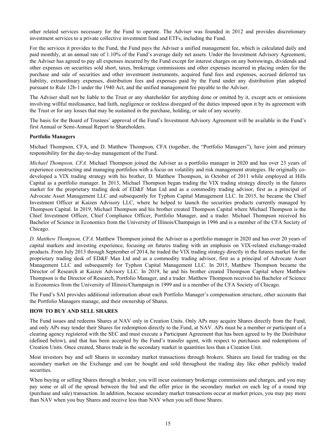other related services necessary for the Fund to operate. The Adviser was founded in 2012 and provides discretionary investment services to a private collective investment fund and ETFs, including the Fund.

For the services it provides to the Fund, the Fund pays the Adviser a unified management fee, which is calculated daily and paid monthly, at an annual rate of 1.10% of the Fund's average daily net assets. Under the Investment Advisory Agreement, the Adviser has agreed to pay all expenses incurred by the Fund except for interest charges on any borrowings, dividends and other expenses on securities sold short, taxes, brokerage commissions and other expenses incurred in placing orders for the purchase and sale of securities and other investment instruments, acquired fund fees and expenses, accrued deferred tax liability, extraordinary expenses, distribution fees and expenses paid by the Fund under any distribution plan adopted pursuant to Rule 12b-1 under the 1940 Act, and the unified management fee payable to the Adviser.

The Adviser shall not be liable to the Trust or any shareholder for anything done or omitted by it, except acts or omissions involving willful misfeasance, bad faith, negligence or reckless disregard of the duties imposed upon it by its agreement with the Trust or for any losses that may be sustained in the purchase, holding, or sale of any security.

The basis for the Board of Trustees' approval of the Fund's Investment Advisory Agreement will be available in the Fund's first Annual or Semi-Annual Report to Shareholders.

#### **Portfolio Managers**

Michael Thompson, CFA, and D. Matthew Thompson, CFA (together, the "Portfolio Managers"), have joint and primary responsibility for the day-to-day management of the Fund.

*Michael Thompson, CFA.* Michael Thompson joined the Adviser as a portfolio manager in 2020 and has over 23 years of experience constructing and managing portfolios with a focus on volatility and risk management strategies. He originally codeveloped a VIX trading strategy with his brother, D. Matthew Thompson, in October of 2011 while employed at Hills Capital as a portfolio manager. In 2013, Michael Thompson began trading the VIX trading strategy directly in the futures market for the proprietary trading desk of ED&F Man Ltd and as a commodity trading advisor, first as a principal of Advocate Asset Management LLC and subsequently for Typhon Capital Management LLC. In 2015, he became the Chief Investment Officer at Kaizen Advisory LLC, where he helped to launch the securities products currently managed by Thompson Capital. In 2019, Michael Thompson and his brother created Thompson Capital where Michael Thompson is the Chief Investment Officer, Chief Compliance Officer, Portfolio Manager, and a trader. Michael Thompson received his Bachelor of Science in Economics from the University of Illinois/Champaign in 1996 and is a member of the CFA Society of Chicago.

*D. Matthew Thompson, CFA*. Matthew Thompson joined the Adviser as a portfolio manager in 2020 and has over 20 years of capital markets and investing experience, focusing on futures trading with an emphasis on VIX-related exchange-traded products. From July 2013 through September of 2014, he traded the VIX trading strategy directly in the futures market for the proprietary trading desk of ED&F Man Ltd and as a commodity trading advisor, first as a principal of Advocate Asset Management LLC and subsequently for Typhon Capital Management LLC. In 2015, Matthew Thompson became the Director of Research at Kaizen Advisory LLC. In 2019, he and his brother created Thompson Capital where Matthew Thompson is the Director of Research, Portfolio Manager, and a trader. Matthew Thompson received his Bachelor of Science in Economics from the University of Illinois/Champaign in 1999 and is a member of the CFA Society of Chicago.

The Fund's SAI provides additional information about each Portfolio Manager's compensation structure, other accounts that the Portfolio Managers manage, and their ownership of Shares.

#### **HOW TO BUY AND SELL SHARES**

The Fund issues and redeems Shares at NAV only in Creation Units. Only APs may acquire Shares directly from the Fund, and only APs may tender their Shares for redemption directly to the Fund, at NAV. APs must be a member or participant of a clearing agency registered with the SEC and must execute a Participant Agreement that has been agreed to by the Distributor (defined below), and that has been accepted by the Fund's transfer agent, with respect to purchases and redemptions of Creation Units. Once created, Shares trade in the secondary market in quantities less than a Creation Unit.

Most investors buy and sell Shares in secondary market transactions through brokers. Shares are listed for trading on the secondary market on the Exchange and can be bought and sold throughout the trading day like other publicly traded securities.

When buying or selling Shares through a broker, you will incur customary brokerage commissions and charges, and you may pay some or all of the spread between the bid and the offer price in the secondary market on each leg of a round trip (purchase and sale) transaction. In addition, because secondary market transactions occur at market prices, you may pay more than NAV when you buy Shares and receive less than NAV when you sell those Shares.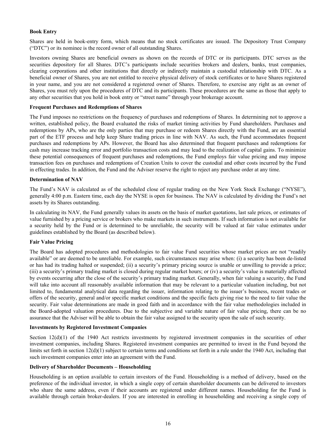#### **Book Entry**

Shares are held in book-entry form, which means that no stock certificates are issued. The Depository Trust Company ("DTC") or its nominee is the record owner of all outstanding Shares.

Investors owning Shares are beneficial owners as shown on the records of DTC or its participants. DTC serves as the securities depository for all Shares. DTC's participants include securities brokers and dealers, banks, trust companies, clearing corporations and other institutions that directly or indirectly maintain a custodial relationship with DTC. As a beneficial owner of Shares, you are not entitled to receive physical delivery of stock certificates or to have Shares registered in your name, and you are not considered a registered owner of Shares. Therefore, to exercise any right as an owner of Shares, you must rely upon the procedures of DTC and its participants. These procedures are the same as those that apply to any other securities that you hold in book entry or "street name" through your brokerage account.

#### **Frequent Purchases and Redemptions of Shares**

The Fund imposes no restrictions on the frequency of purchases and redemptions of Shares. In determining not to approve a written, established policy, the Board evaluated the risks of market timing activities by Fund shareholders. Purchases and redemptions by APs, who are the only parties that may purchase or redeem Shares directly with the Fund, are an essential part of the ETF process and help keep Share trading prices in line with NAV. As such, the Fund accommodates frequent purchases and redemptions by APs. However, the Board has also determined that frequent purchases and redemptions for cash may increase tracking error and portfolio transaction costs and may lead to the realization of capital gains. To minimize these potential consequences of frequent purchases and redemptions, the Fund employs fair value pricing and may impose transaction fees on purchases and redemptions of Creation Units to cover the custodial and other costs incurred by the Fund in effecting trades. In addition, the Fund and the Adviser reserve the right to reject any purchase order at any time.

#### **Determination of NAV**

The Fund's NAV is calculated as of the scheduled close of regular trading on the New York Stock Exchange ("NYSE"), generally 4:00 p.m. Eastern time, each day the NYSE is open for business. The NAV is calculated by dividing the Fund's net assets by its Shares outstanding.

In calculating its NAV, the Fund generally values its assets on the basis of market quotations, last sale prices, or estimates of value furnished by a pricing service or brokers who make markets in such instruments. If such information is not available for a security held by the Fund or is determined to be unreliable, the security will be valued at fair value estimates under guidelines established by the Board (as described below).

#### **Fair Value Pricing**

The Board has adopted procedures and methodologies to fair value Fund securities whose market prices are not "readily available" or are deemed to be unreliable. For example, such circumstances may arise when: (i) a security has been de-listed or has had its trading halted or suspended; (ii) a security's primary pricing source is unable or unwilling to provide a price; (iii) a security's primary trading market is closed during regular market hours; or (iv) a security's value is materially affected by events occurring after the close of the security's primary trading market. Generally, when fair valuing a security, the Fund will take into account all reasonably available information that may be relevant to a particular valuation including, but not limited to, fundamental analytical data regarding the issuer, information relating to the issuer's business, recent trades or offers of the security, general and/or specific market conditions and the specific facts giving rise to the need to fair value the security. Fair value determinations are made in good faith and in accordance with the fair value methodologies included in the Board-adopted valuation procedures. Due to the subjective and variable nature of fair value pricing, there can be no assurance that the Adviser will be able to obtain the fair value assigned to the security upon the sale of such security.

#### **Investments by Registered Investment Companies**

Section 12(d)(1) of the 1940 Act restricts investments by registered investment companies in the securities of other investment companies, including Shares. Registered investment companies are permitted to invest in the Fund beyond the limits set forth in section 12(d)(1) subject to certain terms and conditions set forth in a rule under the 1940 Act, including that such investment companies enter into an agreement with the Fund.

#### **Delivery of Shareholder Documents – Householding**

Householding is an option available to certain investors of the Fund. Householding is a method of delivery, based on the preference of the individual investor, in which a single copy of certain shareholder documents can be delivered to investors who share the same address, even if their accounts are registered under different names. Householding for the Fund is available through certain broker-dealers. If you are interested in enrolling in householding and receiving a single copy of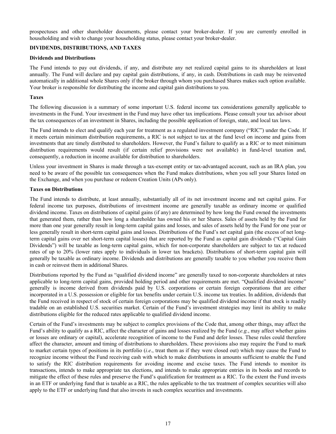prospectuses and other shareholder documents, please contact your broker-dealer. If you are currently enrolled in householding and wish to change your householding status, please contact your broker-dealer.

#### **DIVIDENDS, DISTRIBUTIONS, AND TAXES**

#### **Dividends and Distributions**

The Fund intends to pay out dividends, if any, and distribute any net realized capital gains to its shareholders at least annually. The Fund will declare and pay capital gain distributions, if any, in cash. Distributions in cash may be reinvested automatically in additional whole Shares only if the broker through whom you purchased Shares makes such option available. Your broker is responsible for distributing the income and capital gain distributions to you.

#### **Taxes**

The following discussion is a summary of some important U.S. federal income tax considerations generally applicable to investments in the Fund. Your investment in the Fund may have other tax implications. Please consult your tax advisor about the tax consequences of an investment in Shares, including the possible application of foreign, state, and local tax laws.

The Fund intends to elect and qualify each year for treatment as a regulated investment company ("RIC") under the Code. If it meets certain minimum distribution requirements, a RIC is not subject to tax at the fund level on income and gains from investments that are timely distributed to shareholders. However, the Fund's failure to qualify as a RIC or to meet minimum distribution requirements would result (if certain relief provisions were not available) in fund-level taxation and, consequently, a reduction in income available for distribution to shareholders.

Unless your investment in Shares is made through a tax-exempt entity or tax-advantaged account, such as an IRA plan, you need to be aware of the possible tax consequences when the Fund makes distributions, when you sell your Shares listed on the Exchange, and when you purchase or redeem Creation Units (APs only).

#### **Taxes on Distributions**

The Fund intends to distribute, at least annually, substantially all of its net investment income and net capital gains. For federal income tax purposes, distributions of investment income are generally taxable as ordinary income or qualified dividend income. Taxes on distributions of capital gains (if any) are determined by how long the Fund owned the investments that generated them, rather than how long a shareholder has owned his or her Shares. Sales of assets held by the Fund for more than one year generally result in long-term capital gains and losses, and sales of assets held by the Fund for one year or less generally result in short-term capital gains and losses. Distributions of the Fund's net capital gain (the excess of net longterm capital gains over net short-term capital losses) that are reported by the Fund as capital gain dividends ("Capital Gain Dividends") will be taxable as long-term capital gains, which for non-corporate shareholders are subject to tax at reduced rates of up to 20% (lower rates apply to individuals in lower tax brackets). Distributions of short-term capital gain will generally be taxable as ordinary income. Dividends and distributions are generally taxable to you whether you receive them in cash or reinvest them in additional Shares.

Distributions reported by the Fund as "qualified dividend income" are generally taxed to non-corporate shareholders at rates applicable to long-term capital gains, provided holding period and other requirements are met. "Qualified dividend income" generally is income derived from dividends paid by U.S. corporations or certain foreign corporations that are either incorporated in a U.S. possession or eligible for tax benefits under certain U.S. income tax treaties. In addition, dividends that the Fund received in respect of stock of certain foreign corporations may be qualified dividend income if that stock is readily tradable on an established U.S. securities market. Certain of the Fund's investment strategies may limit its ability to make distributions eligible for the reduced rates applicable to qualified dividend income.

Certain of the Fund's investments may be subject to complex provisions of the Code that, among other things, may affect the Fund's ability to qualify as a RIC, affect the character of gains and losses realized by the Fund (*e.g.*, may affect whether gains or losses are ordinary or capital), accelerate recognition of income to the Fund and defer losses. These rules could therefore affect the character, amount and timing of distributions to shareholders. These provisions also may require the Fund to mark to market certain types of positions in its portfolio (*i.e*., treat them as if they were closed out) which may cause the Fund to recognize income without the Fund receiving cash with which to make distributions in amounts sufficient to enable the Fund to satisfy the RIC distribution requirements for avoiding income and excise taxes. The Fund intends to monitor its transactions, intends to make appropriate tax elections, and intends to make appropriate entries in its books and records to mitigate the effect of these rules and preserve the Fund's qualification for treatment as a RIC. To the extent the Fund invests in an ETF or underlying fund that is taxable as a RIC, the rules applicable to the tax treatment of complex securities will also apply to the ETF or underlying fund that also invests in such complex securities and investments.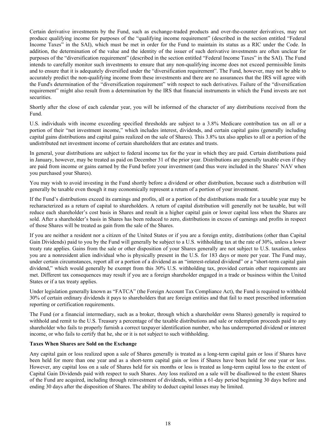Certain derivative investments by the Fund, such as exchange-traded products and over-the-counter derivatives, may not produce qualifying income for purposes of the "qualifying income requirement" (described in the section entitled "Federal Income Taxes" in the SAI), which must be met in order for the Fund to maintain its status as a RIC under the Code. In addition, the determination of the value and the identity of the issuer of such derivative investments are often unclear for purposes of the "diversification requirement" (described in the section entitled "Federal Income Taxes" in the SAI). The Fund intends to carefully monitor such investments to ensure that any non-qualifying income does not exceed permissible limits and to ensure that it is adequately diversified under the "diversification requirement". The Fund, however, may not be able to accurately predict the non-qualifying income from these investments and there are no assurances that the IRS will agree with the Fund's determination of the "diversification requirement" with respect to such derivatives. Failure of the "diversification requirement" might also result from a determination by the IRS that financial instruments in which the Fund invests are not securities.

Shortly after the close of each calendar year, you will be informed of the character of any distributions received from the Fund.

U.S. individuals with income exceeding specified thresholds are subject to a 3.8% Medicare contribution tax on all or a portion of their "net investment income," which includes interest, dividends, and certain capital gains (generally including capital gains distributions and capital gains realized on the sale of Shares). This 3.8% tax also applies to all or a portion of the undistributed net investment income of certain shareholders that are estates and trusts.

In general, your distributions are subject to federal income tax for the year in which they are paid. Certain distributions paid in January, however, may be treated as paid on December 31 of the prior year. Distributions are generally taxable even if they are paid from income or gains earned by the Fund before your investment (and thus were included in the Shares' NAV when you purchased your Shares).

You may wish to avoid investing in the Fund shortly before a dividend or other distribution, because such a distribution will generally be taxable even though it may economically represent a return of a portion of your investment.

If the Fund's distributions exceed its earnings and profits, all or a portion of the distributions made for a taxable year may be recharacterized as a return of capital to shareholders. A return of capital distribution will generally not be taxable, but will reduce each shareholder's cost basis in Shares and result in a higher capital gain or lower capital loss when the Shares are sold. After a shareholder's basis in Shares has been reduced to zero, distributions in excess of earnings and profits in respect of those Shares will be treated as gain from the sale of the Shares.

If you are neither a resident nor a citizen of the United States or if you are a foreign entity, distributions (other than Capital Gain Dividends) paid to you by the Fund will generally be subject to a U.S. withholding tax at the rate of 30%, unless a lower treaty rate applies. Gains from the sale or other disposition of your Shares generally are not subject to U.S. taxation, unless you are a nonresident alien individual who is physically present in the U.S. for 183 days or more per year. The Fund may, under certain circumstances, report all or a portion of a dividend as an "interest-related dividend" or a "short-term capital gain dividend," which would generally be exempt from this 30% U.S. withholding tax, provided certain other requirements are met. Different tax consequences may result if you are a foreign shareholder engaged in a trade or business within the United States or if a tax treaty applies.

Under legislation generally known as "FATCA" (the Foreign Account Tax Compliance Act), the Fund is required to withhold 30% of certain ordinary dividends it pays to shareholders that are foreign entities and that fail to meet prescribed information reporting or certification requirements.

The Fund (or a financial intermediary, such as a broker, through which a shareholder owns Shares) generally is required to withhold and remit to the U.S. Treasury a percentage of the taxable distributions and sale or redemption proceeds paid to any shareholder who fails to properly furnish a correct taxpayer identification number, who has underreported dividend or interest income, or who fails to certify that he, she or it is not subject to such withholding.

#### **Taxes When Shares are Sold on the Exchange**

Any capital gain or loss realized upon a sale of Shares generally is treated as a long-term capital gain or loss if Shares have been held for more than one year and as a short-term capital gain or loss if Shares have been held for one year or less. However, any capital loss on a sale of Shares held for six months or less is treated as long-term capital loss to the extent of Capital Gain Dividends paid with respect to such Shares. Any loss realized on a sale will be disallowed to the extent Shares of the Fund are acquired, including through reinvestment of dividends, within a 61-day period beginning 30 days before and ending 30 days after the disposition of Shares. The ability to deduct capital losses may be limited.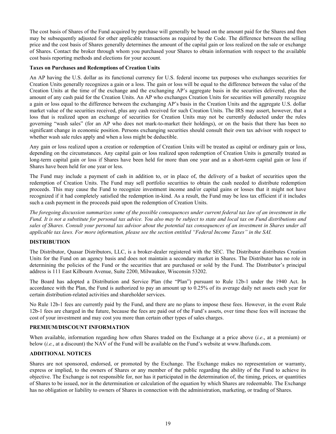The cost basis of Shares of the Fund acquired by purchase will generally be based on the amount paid for the Shares and then may be subsequently adjusted for other applicable transactions as required by the Code. The difference between the selling price and the cost basis of Shares generally determines the amount of the capital gain or loss realized on the sale or exchange of Shares. Contact the broker through whom you purchased your Shares to obtain information with respect to the available cost basis reporting methods and elections for your account.

#### **Taxes on Purchases and Redemptions of Creation Units**

An AP having the U.S. dollar as its functional currency for U.S. federal income tax purposes who exchanges securities for Creation Units generally recognizes a gain or a loss. The gain or loss will be equal to the difference between the value of the Creation Units at the time of the exchange and the exchanging AP's aggregate basis in the securities delivered, plus the amount of any cash paid for the Creation Units. An AP who exchanges Creation Units for securities will generally recognize a gain or loss equal to the difference between the exchanging AP's basis in the Creation Units and the aggregate U.S. dollar market value of the securities received, plus any cash received for such Creation Units. The IRS may assert, however, that a loss that is realized upon an exchange of securities for Creation Units may not be currently deducted under the rules governing "wash sales" (for an AP who does not mark-to-market their holdings), or on the basis that there has been no significant change in economic position. Persons exchanging securities should consult their own tax advisor with respect to whether wash sale rules apply and when a loss might be deductible.

Any gain or loss realized upon a creation or redemption of Creation Units will be treated as capital or ordinary gain or loss, depending on the circumstances. Any capital gain or loss realized upon redemption of Creation Units is generally treated as long-term capital gain or loss if Shares have been held for more than one year and as a short-term capital gain or loss if Shares have been held for one year or less.

The Fund may include a payment of cash in addition to, or in place of, the delivery of a basket of securities upon the redemption of Creation Units. The Fund may sell portfolio securities to obtain the cash needed to distribute redemption proceeds. This may cause the Fund to recognize investment income and/or capital gains or losses that it might not have recognized if it had completely satisfied the redemption in-kind. As a result, the Fund may be less tax efficient if it includes such a cash payment in the proceeds paid upon the redemption of Creation Units.

*The foregoing discussion summarizes some of the possible consequences under current federal tax law of an investment in the Fund. It is not a substitute for personal tax advice. You also may be subject to state and local tax on Fund distributions and sales of Shares. Consult your personal tax advisor about the potential tax consequences of an investment in Shares under all applicable tax laws. For more information, please see the section entitled "Federal Income Taxes" in the SAI.*

#### **DISTRIBUTION**

The Distributor, Quasar Distributors, LLC, is a broker-dealer registered with the SEC. The Distributor distributes Creation Units for the Fund on an agency basis and does not maintain a secondary market in Shares. The Distributor has no role in determining the policies of the Fund or the securities that are purchased or sold by the Fund. The Distributor's principal address is 111 East Kilbourn Avenue, Suite 2200, Milwaukee, Wisconsin 53202.

The Board has adopted a Distribution and Service Plan (the "Plan") pursuant to Rule 12b-1 under the 1940 Act. In accordance with the Plan, the Fund is authorized to pay an amount up to 0.25% of its average daily net assets each year for certain distribution-related activities and shareholder services.

No Rule 12b-1 fees are currently paid by the Fund, and there are no plans to impose these fees. However, in the event Rule 12b-1 fees are charged in the future, because the fees are paid out of the Fund's assets, over time these fees will increase the cost of your investment and may cost you more than certain other types of sales charges.

#### **PREMIUM/DISCOUNT INFORMATION**

When available, information regarding how often Shares traded on the Exchange at a price above (*i.e*., at a premium) or below (*i.e.*, at a discount) the NAV of the Fund will be available on the Fund's website at www.lhafunds.com.

#### **ADDITIONAL NOTICES**

Shares are not sponsored, endorsed, or promoted by the Exchange. The Exchange makes no representation or warranty, express or implied, to the owners of Shares or any member of the public regarding the ability of the Fund to achieve its objective. The Exchange is not responsible for, nor has it participated in the determination of, the timing, prices, or quantities of Shares to be issued, nor in the determination or calculation of the equation by which Shares are redeemable. The Exchange has no obligation or liability to owners of Shares in connection with the administration, marketing, or trading of Shares.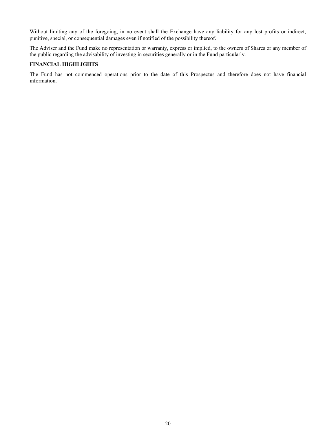Without limiting any of the foregoing, in no event shall the Exchange have any liability for any lost profits or indirect, punitive, special, or consequential damages even if notified of the possibility thereof.

The Adviser and the Fund make no representation or warranty, express or implied, to the owners of Shares or any member of the public regarding the advisability of investing in securities generally or in the Fund particularly.

#### **FINANCIAL HIGHLIGHTS**

The Fund has not commenced operations prior to the date of this Prospectus and therefore does not have financial information.